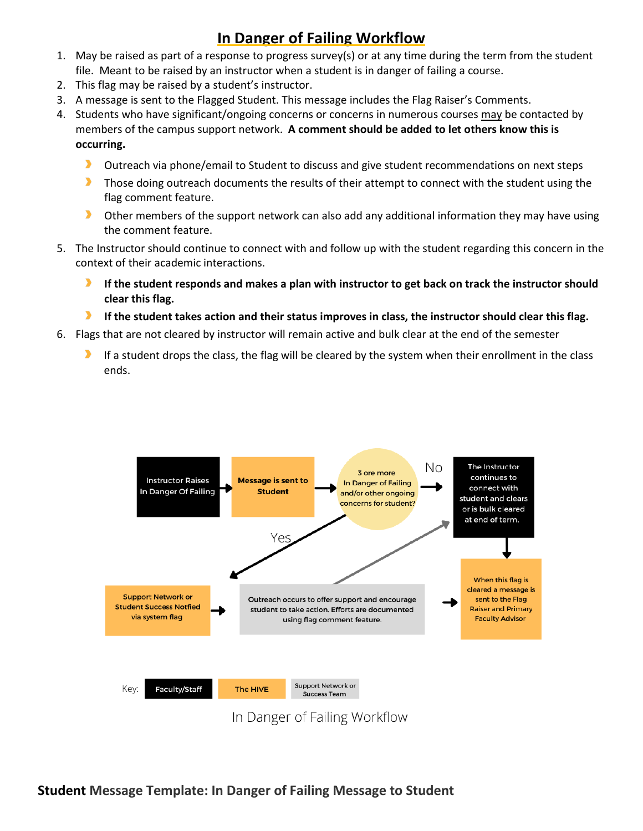# **In Danger of Failing Workflow**

- 1. May be raised as part of a response to progress survey(s) or at any time during the term from the student file. Meant to be raised by an instructor when a student is in danger of failing a course.
- 2. This flag may be raised by a student's instructor.
- 3. A message is sent to the Flagged Student. This message includes the Flag Raiser's Comments.
- 4. Students who have significant/ongoing concerns or concerns in numerous courses may be contacted by members of the campus support network. **A comment should be added to let others know this is occurring.**
	- D Outreach via phone/email to Student to discuss and give student recommendations on next steps
	- D. Those doing outreach documents the results of their attempt to connect with the student using the flag comment feature.
	- $\blacktriangleright$ Other members of the support network can also add any additional information they may have using the comment feature.
- 5. The Instructor should continue to connect with and follow up with the student regarding this concern in the context of their academic interactions.
	- **If the student responds and makes a plan with instructor to get back on track the instructor should clear this flag.**
	- D. **If the student takes action and their status improves in class, the instructor should clear this flag.**
- 6. Flags that are not cleared by instructor will remain active and bulk clear at the end of the semester
	- If a student drops the class, the flag will be cleared by the system when their enrollment in the class ends.

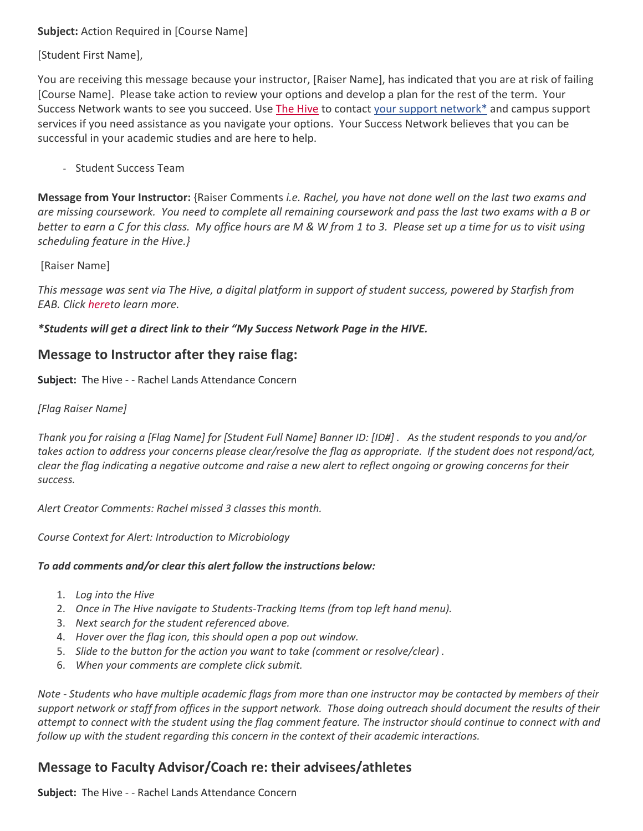### **Subject:** Action Required in [Course Name]

[Student First Name],

You are receiving this message because your instructor, [Raiser Name], has indicated that you are at risk of failing [Course Name]. Please take action to review your options and develop a plan for the rest of the term. Your Success Network wants to see you succeed. Use [The Hive](https://auth.csbsju.edu/cas/login?service=https%3A%2F%2Fcsbsju.starfishsolutions.com%2Fstarfish-ops%2Fsession%2FcasLogin.html) to contact your support network\* and campus support services if you need assistance as you navigate your options. Your Success Network believes that you can be successful in your academic studies and are here to help.

- Student Success Team

**Message from Your Instructor:** {Raiser Comments *i.e. Rachel, you have not done well on the last two exams and are missing coursework. You need to complete all remaining coursework and pass the last two exams with a B or better to earn a C for this class. My office hours are M & W from 1 to 3. Please set up a time for us to visit using scheduling feature in the Hive.}* 

[Raiser Name]

*This message was sent via The Hive, a digital platform in support of student success, powered by Starfish from EAB. Click [heret](https://www.csbsju.edu/the-hive/about-the-hive)o learn more.*

*\*Students will get a direct link to their "My Success Network Page in the HIVE.* 

## **Message to Instructor after they raise flag:**

**Subject:** The Hive - - Rachel Lands Attendance Concern

### *[Flag Raiser Name]*

*Thank you for raising a [Flag Name] for [Student Full Name] Banner ID: [ID#] . As the student responds to you and/or takes action to address your concerns please clear/resolve the flag as appropriate. If the student does not respond/act, clear the flag indicating a negative outcome and raise a new alert to reflect ongoing or growing concerns for their success.*

*Alert Creator Comments: Rachel missed 3 classes this month.* 

*Course Context for Alert: Introduction to Microbiology*

#### *To add comments and/or clear this alert follow the instructions below:*

- 1. *Log into the Hive*
- 2. *Once in The Hive navigate to Students-Tracking Items (from top left hand menu).*
- 3. *Next search for the student referenced above.*
- 4. *Hover over the flag icon, this should open a pop out window.*
- 5. *Slide to the button for the action you want to take (comment or resolve/clear) .*
- 6. *When your comments are complete click submit.*

*Note - Students who have multiple academic flags from more than one instructor may be contacted by members of their support network or staff from offices in the support network. Those doing outreach should document the results of their attempt to connect with the student using the flag comment feature. The instructor should continue to connect with and follow up with the student regarding this concern in the context of their academic interactions.*

# **Message to Faculty Advisor/Coach re: their advisees/athletes**

**Subject:** The Hive - - Rachel Lands Attendance Concern